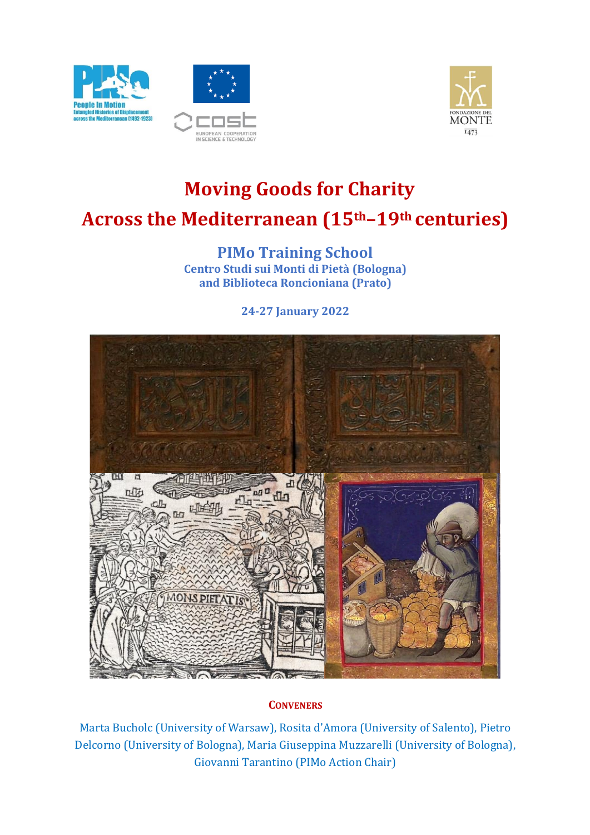





# **Moving Goods for Charity Across the Mediterranean (15th–19th centuries)**

**PIMo Training School Centro Studi sui Monti di Pietà (Bologna) and Biblioteca Roncioniana (Prato)**

**24-27 January 2022**



## **CONVENERS**

Marta Bucholc (University of Warsaw), Rosita d'Amora (University of Salento), Pietro Delcorno (University of Bologna), Maria Giuseppina Muzzarelli (University of Bologna), Giovanni Tarantino (PIMo Action Chair)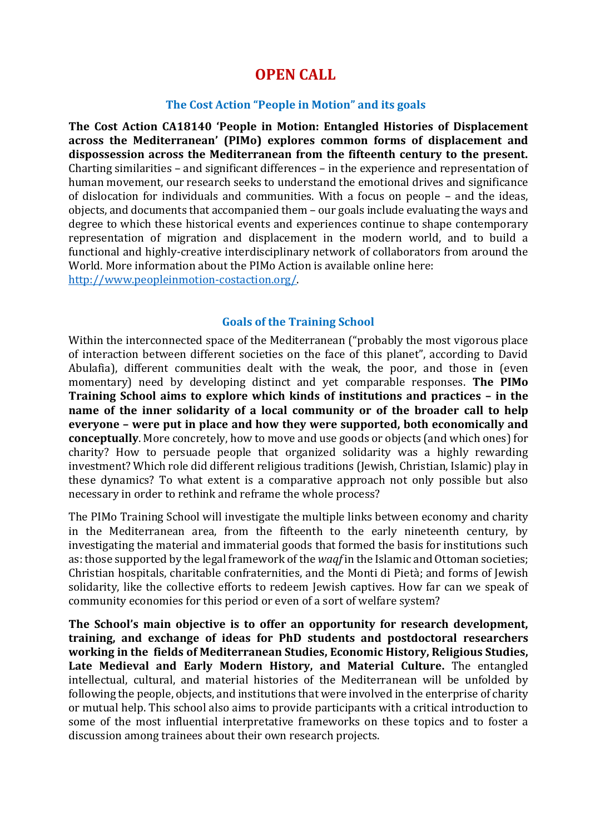## **OPEN CALL**

#### **The Cost Action "People in Motion" and its goals**

**The Cost Action CA18140 'People in Motion: Entangled Histories of Displacement across the Mediterranean' (PIMo) explores common forms of displacement and dispossession across the Mediterranean from the fifteenth century to the present.** Charting similarities – and significant differences – in the experience and representation of human movement, our research seeks to understand the emotional drives and significance of dislocation for individuals and communities. With a focus on people – and the ideas, objects, and documents that accompanied them – our goals include evaluating the ways and degree to which these historical events and experiences continue to shape contemporary representation of migration and displacement in the modern world, and to build a functional and highly-creative interdisciplinary network of collaborators from around the World. More information about the PIMo Action is available online here: [http://www.peopleinmotion-costaction.org/.](about:blank)

#### **Goals of the Training School**

Within the interconnected space of the Mediterranean ("probably the most vigorous place of interaction between different societies on the face of this planet", according to David Abulafia), different communities dealt with the weak, the poor, and those in (even momentary) need by developing distinct and yet comparable responses. **The PIMo Training School aims to explore which kinds of institutions and practices – in the name of the inner solidarity of a local community or of the broader call to help everyone – were put in place and how they were supported, both economically and conceptually**. More concretely, how to move and use goods or objects (and which ones) for charity? How to persuade people that organized solidarity was a highly rewarding investment? Which role did different religious traditions (Jewish, Christian, Islamic) play in these dynamics? To what extent is a comparative approach not only possible but also necessary in order to rethink and reframe the whole process?

The PIMo Training School will investigate the multiple links between economy and charity in the Mediterranean area, from the fifteenth to the early nineteenth century, by investigating the material and immaterial goods that formed the basis for institutions such as: those supported by the legal framework of the *waqf* in the Islamic and Ottoman societies; Christian hospitals, charitable confraternities, and the Monti di Pietà; and forms of Jewish solidarity, like the collective efforts to redeem Jewish captives. How far can we speak of community economies for this period or even of a sort of welfare system?

**The School's main objective is to offer an opportunity for research development, training, and exchange of ideas for PhD students and postdoctoral researchers working in the fields of Mediterranean Studies, Economic History, Religious Studies, Late Medieval and Early Modern History, and Material Culture.** The entangled intellectual, cultural, and material histories of the Mediterranean will be unfolded by following the people, objects, and institutions that were involved in the enterprise of charity or mutual help. This school also aims to provide participants with a critical introduction to some of the most influential interpretative frameworks on these topics and to foster a discussion among trainees about their own research projects.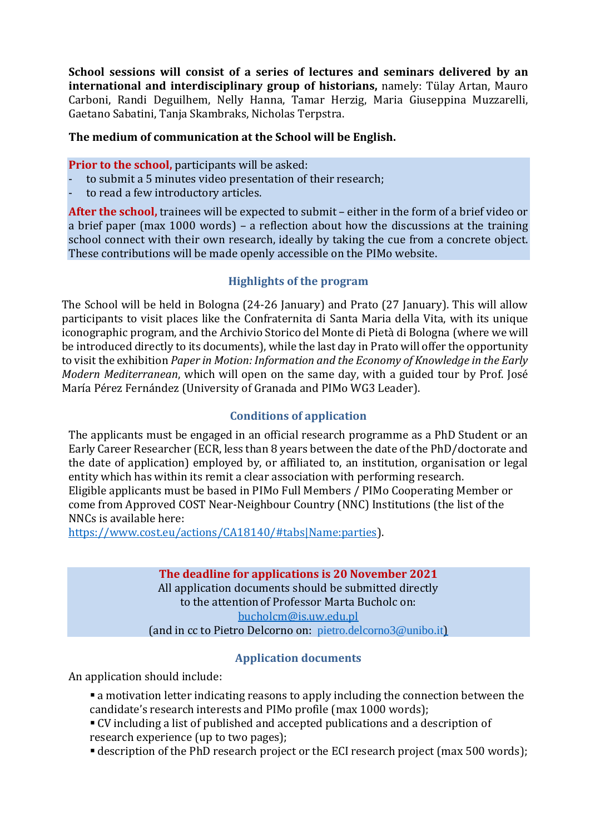**School sessions will consist of a series of lectures and seminars delivered by an international and interdisciplinary group of historians,** namely: Tülay Artan, Mauro Carboni, Randi Deguilhem, Nelly Hanna, Tamar Herzig, Maria Giuseppina Muzzarelli, Gaetano Sabatini, Tanja Skambraks, Nicholas Terpstra.

### **The medium of communication at the School will be English.**

#### **Prior to the school,** participants will be asked:

- to submit a 5 minutes video presentation of their research;
- to read a few introductory articles.

**After the school,** trainees will be expected to submit – either in the form of a brief video or a brief paper (max 1000 words) – a reflection about how the discussions at the training school connect with their own research, ideally by taking the cue from a concrete object. These contributions will be made openly accessible on the PIMo website.

## **Highlights of the program**

The School will be held in Bologna (24-26 January) and Prato (27 January). This will allow participants to visit places like the Confraternita di Santa Maria della Vita, with its unique iconographic program, and the Archivio Storico del Monte di Pietà di Bologna (where we will be introduced directly to its documents), while the last day in Prato will offer the opportunity to visit the exhibition *Paper in Motion: Information and the Economy of Knowledge in the Early Modern Mediterranean*, which will open on the same day, with a guided tour by Prof. José María Pérez Fernández (University of Granada and PIMo WG3 Leader).

## **Conditions of application**

The applicants must be engaged in an official research programme as a PhD Student or an Early Career Researcher (ECR, less than 8 years between the date of the PhD/doctorate and the date of application) employed by, or affiliated to, an institution, organisation or legal entity which has within its remit a clear association with performing research. Eligible applicants must be based in PIMo Full Members / PIMo Cooperating Member or come from Approved COST Near-Neighbour Country (NNC) Institutions (the list of the NNCs is available here:

https:/[/www.cost.eu/actions/CA18140/#tabs|](about:blank#tabs)Name:parties).

**The deadline for applications is 20 November 2021** All application documents should be submitted directly to the attentionof Professor Marta Bucholc on: [bucholcm@is.uw.edu.pl](about:blank) (and in cc to Pietro Delcorno on: [pietro.delcorno3@unibo.it](mailto:pietro.delcorno3@unibo.it))

## **Application documents**

An application should include:

- **Example 1** a motivation letter indicating reasons to apply including the connection between the candidate's research interests and PIMo profile (max 1000 words);
- CV including a list of published and accepted publications and a description of research experience (up to two pages);
- **E** description of the PhD research project or the ECI research project (max 500 words);